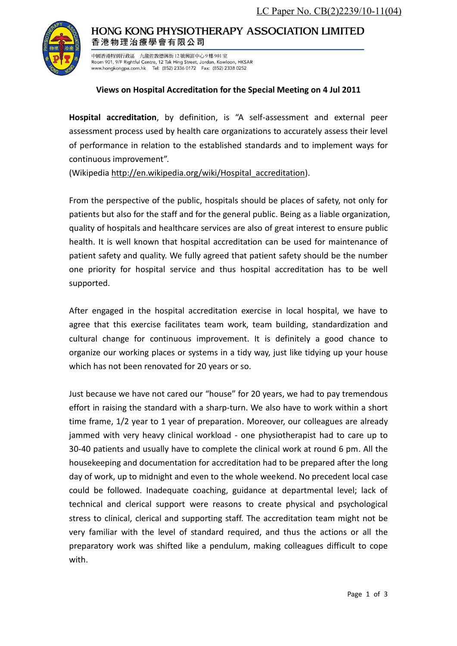

## HONG KONG PHYSIOTHERAPY ASSOCIATION LIMITED 香港物理治療學會有限公司

中國香港特別行政區 九龍佐敦德興街 12 號興富中心9樓 901室 Room 901, 9/F Rightful Centre, 12 Tak Hing Street, Jordan, Kowloon, HKSAR www.hongkongpa.com.hk Tel: (852) 2336 0172 Fax: (852) 2338 0252

## **Views on Hospital Accreditation for the Special Meeting on 4 Jul 2011**

**Hospital accreditation**, by definition, is "A self-assessment and external peer assessment process used by health care organizations to accurately assess their level of performance in relation to the established standards and to implement ways for continuous improvement".

(Wikipedia [http://en.wikipedia.org/wiki/Hospital\\_accreditation\)](http://en.wikipedia.org/wiki/Hospital_accreditation).

From the perspective of the public, hospitals should be places of safety, not only for patients but also for the staff and for the general public. Being as a liable organization, quality of hospitals and healthcare services are also of great interest to ensure public health. It is well known that hospital accreditation can be used for maintenance of patient safety and quality. We fully agreed that patient safety should be the number one priority for hospital service and thus hospital accreditation has to be well supported.

After engaged in the hospital accreditation exercise in local hospital, we have to agree that this exercise facilitates team work, team building, standardization and cultural change for continuous improvement. It is definitely a good chance to organize our working places or systems in a tidy way, just like tidying up your house which has not been renovated for 20 years or so.

Just because we have not cared our "house" for 20 years, we had to pay tremendous effort in raising the standard with a sharp-turn. We also have to work within a short time frame, 1/2 year to 1 year of preparation. Moreover, our colleagues are already jammed with very heavy clinical workload - one physiotherapist had to care up to 30-40 patients and usually have to complete the clinical work at round 6 pm. All the housekeeping and documentation for accreditation had to be prepared after the long day of work, up to midnight and even to the whole weekend. No precedent local case could be followed. Inadequate coaching, guidance at departmental level; lack of technical and clerical support were reasons to create physical and psychological stress to clinical, clerical and supporting staff. The accreditation team might not be very familiar with the level of standard required, and thus the actions or all the preparatory work was shifted like a pendulum, making colleagues difficult to cope with.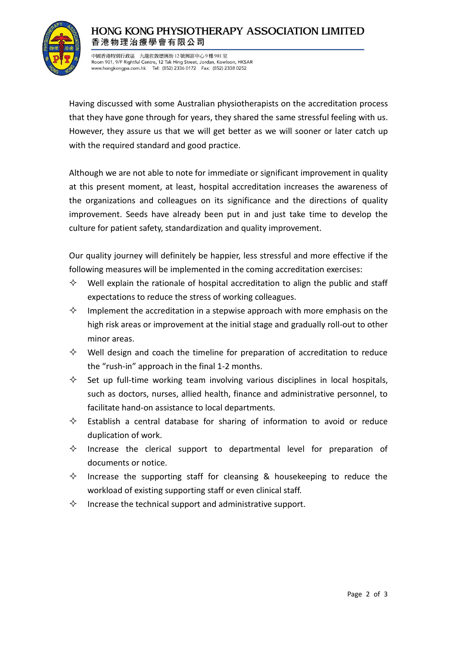

## **HONG KONG PHYSIOTHERAPY ASSOCIATION LIMITED** 香港物理治療學會有限公司

中國香港特別行政區 九龍佐敦德興街 12 號興富中心9樓 901室 Room 901, 9/F Rightful Centre, 12 Tak Hing Street, Jordan, Kowloon, HKSAR www.hongkongpa.com.hk Tel: (852) 2336 0172 Fax: (852) 2338 0252

Having discussed with some Australian physiotherapists on the accreditation process that they have gone through for years, they shared the same stressful feeling with us. However, they assure us that we will get better as we will sooner or later catch up with the required standard and good practice.

Although we are not able to note for immediate or significant improvement in quality at this present moment, at least, hospital accreditation increases the awareness of the organizations and colleagues on its significance and the directions of quality improvement. Seeds have already been put in and just take time to develop the culture for patient safety, standardization and quality improvement.

Our quality journey will definitely be happier, less stressful and more effective if the following measures will be implemented in the coming accreditation exercises:

- $\diamond$  Well explain the rationale of hospital accreditation to align the public and staff expectations to reduce the stress of working colleagues.
- $\Diamond$  Implement the accreditation in a stepwise approach with more emphasis on the high risk areas or improvement at the initial stage and gradually roll-out to other minor areas.
- $\diamond$  Well design and coach the timeline for preparation of accreditation to reduce the "rush-in" approach in the final 1-2 months.
- $\diamond$  Set up full-time working team involving various disciplines in local hospitals, such as doctors, nurses, allied health, finance and administrative personnel, to facilitate hand-on assistance to local departments.
- $\Diamond$  Establish a central database for sharing of information to avoid or reduce duplication of work.
- $\diamond$  Increase the clerical support to departmental level for preparation of documents or notice.
- $\Diamond$  Increase the supporting staff for cleansing & housekeeping to reduce the workload of existing supporting staff or even clinical staff.
- $\diamond$  Increase the technical support and administrative support.